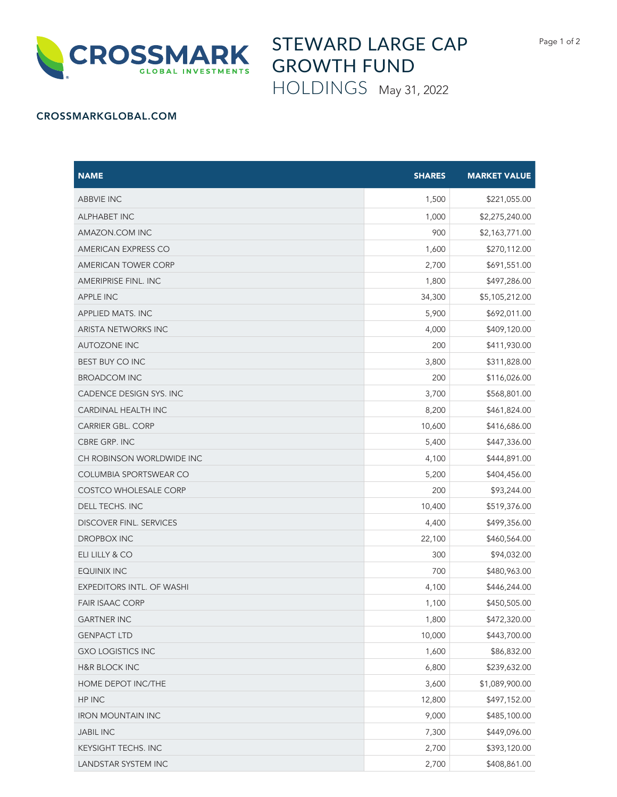

STEWARD LARGE CAP GROWTH FUND

HOLDINGS May 31, 2022

## CROSSMARKGLOBAL.COM

| <b>NAME</b>                    | <b>SHARES</b> | <b>MARKET VALUE</b> |
|--------------------------------|---------------|---------------------|
| <b>ABBVIE INC</b>              | 1,500         | \$221,055.00        |
| <b>ALPHABET INC</b>            | 1,000         | \$2,275,240.00      |
| AMAZON.COM INC                 | 900           | \$2,163,771.00      |
| AMERICAN EXPRESS CO            | 1,600         | \$270,112.00        |
| <b>AMERICAN TOWER CORP</b>     | 2,700         | \$691,551.00        |
| <b>AMERIPRISE FINL. INC</b>    | 1,800         | \$497,286.00        |
| <b>APPLE INC</b>               | 34,300        | \$5,105,212.00      |
| APPLIED MATS. INC              | 5,900         | \$692,011.00        |
| <b>ARISTA NETWORKS INC</b>     | 4,000         | \$409,120.00        |
| <b>AUTOZONE INC</b>            | 200           | \$411,930.00        |
| <b>BEST BUY CO INC</b>         | 3,800         | \$311,828.00        |
| <b>BROADCOM INC</b>            | 200           | \$116,026.00        |
| <b>CADENCE DESIGN SYS. INC</b> | 3,700         | \$568,801.00        |
| <b>CARDINAL HEALTH INC</b>     | 8,200         | \$461,824.00        |
| <b>CARRIER GBL. CORP</b>       | 10,600        | \$416,686.00        |
| CBRE GRP. INC                  | 5,400         | \$447,336.00        |
| CH ROBINSON WORLDWIDE INC      | 4,100         | \$444,891.00        |
| COLUMBIA SPORTSWEAR CO         | 5,200         | \$404,456.00        |
| COSTCO WHOLESALE CORP          | 200           | \$93,244.00         |
| DELL TECHS. INC                | 10,400        | \$519,376.00        |
| <b>DISCOVER FINL. SERVICES</b> | 4,400         | \$499,356.00        |
| DROPBOX INC                    | 22,100        | \$460,564.00        |
| ELI LILLY & CO                 | 300           | \$94,032.00         |
| EQUINIX INC                    | 700           | \$480,963.00        |
| EXPEDITORS INTL. OF WASHI      | 4,100         | \$446,244.00        |
| <b>FAIR ISAAC CORP</b>         | 1,100         | \$450,505.00        |
| <b>GARTNER INC</b>             | 1,800         | \$472,320.00        |
| <b>GENPACT LTD</b>             | 10,000        | \$443,700.00        |
| <b>GXO LOGISTICS INC</b>       | 1,600         | \$86,832.00         |
| <b>H&amp;R BLOCK INC</b>       | 6,800         | \$239,632.00        |
| HOME DEPOT INC/THE             | 3,600         | \$1,089,900.00      |
| HP INC                         | 12,800        | \$497,152.00        |
| <b>IRON MOUNTAIN INC</b>       | 9,000         | \$485,100.00        |
| <b>JABIL INC</b>               | 7,300         | \$449,096.00        |
| KEYSIGHT TECHS. INC            | 2,700         | \$393,120.00        |
| LANDSTAR SYSTEM INC            | 2,700         | \$408,861.00        |